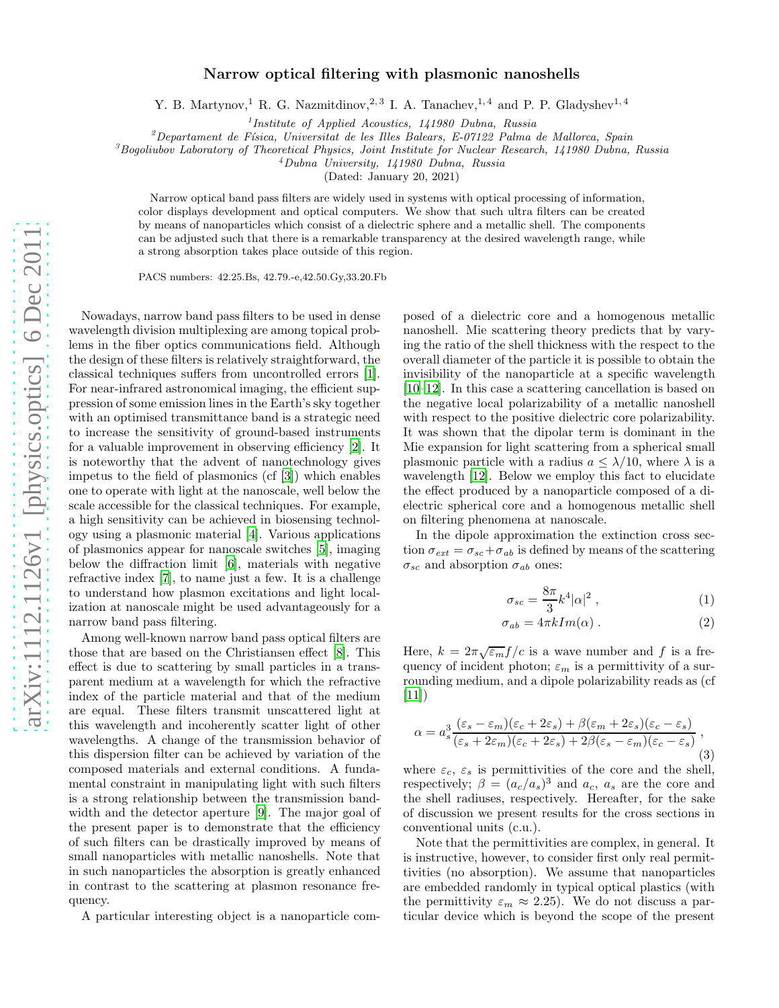## Narrow optical filtering with plasmonic nanoshells

Y. B. Martynov,<sup>1</sup> R. G. Nazmitdinov,<sup>2, 3</sup> I. A. Tanachev,<sup>1, 4</sup> and P. P. Gladyshev<sup>1, 4</sup>

<sup>1</sup>Institute of Applied Acoustics, 141980 Dubna, Russia

 $^{2}$ Departament de Física, Universitat de les Illes Balears, E-07122 Palma de Mallorca, Spain

 ${}^{3}$ Bogoliubov Laboratory of Theoretical Physics, Joint Institute for Nuclear Research, 141980 Dubna, Russia

<sup>4</sup>Dubna University, 141980 Dubna, Russia

(Dated: January 20, 2021)

Narrow optical band pass filters are widely used in systems with optical processing of information, color displays development and optical computers. We show that such ultra filters can be created by means of nanoparticles which consist of a dielectric sphere and a metallic shell. The components can be adjusted such that there is a remarkable transparency at the desired wavelength range, while a strong absorption takes place outside of this region.

PACS numbers: 42.25.Bs, 42.79.-e,42.50.Gy,33.20.Fb

Nowadays, narrow band pass filters to be used in dense wavelength division multiplexing are among topical problems in the fiber optics communications field. Although the design of these filters is relatively straightforward, the classical techniques suffers from uncontrolled errors [\[1\]](#page-3-0). For near-infrared astronomical imaging, the efficient suppression of some emission lines in the Earth's sky together with an optimised transmittance band is a strategic need to increase the sensitivity of ground-based instruments for a valuable improvement in observing efficiency [\[2\]](#page-3-1). It is noteworthy that the advent of nanotechnology gives impetus to the field of plasmonics (cf [\[3\]](#page-3-2)) which enables one to operate with light at the nanoscale, well below the scale accessible for the classical techniques. For example, a high sensitivity can be achieved in biosensing technology using a plasmonic material [\[4\]](#page-3-3). Various applications of plasmonics appear for nanoscale switches [\[5\]](#page-3-4), imaging below the diffraction limit [\[6](#page-3-5)], materials with negative refractive index [\[7\]](#page-3-6), to name just a few. It is a challenge to understand how plasmon excitations and light localization at nanoscale might be used advantageously for a narrow band pass filtering.

Among well-known narrow band pass optical filters are those that are based on the Christiansen effect [\[8\]](#page-3-7). This effect is due to scattering by small particles in a transparent medium at a wavelength for which the refractive index of the particle material and that of the medium are equal. These filters transmit unscattered light at this wavelength and incoherently scatter light of other wavelengths. A change of the transmission behavior of this dispersion filter can be achieved by variation of the composed materials and external conditions. A fundamental constraint in manipulating light with such filters is a strong relationship between the transmission bandwidth and the detector aperture [\[9\]](#page-3-8). The major goal of the present paper is to demonstrate that the efficiency of such filters can be drastically improved by means of small nanoparticles with metallic nanoshells. Note that in such nanoparticles the absorption is greatly enhanced in contrast to the scattering at plasmon resonance frequency.

A particular interesting object is a nanoparticle com-

posed of a dielectric core and a homogenous metallic nanoshell. Mie scattering theory predicts that by varying the ratio of the shell thickness with the respect to the overall diameter of the particle it is possible to obtain the invisibility of the nanoparticle at a specific wavelength [\[10](#page-3-9)[–12\]](#page-3-10). In this case a scattering cancellation is based on the negative local polarizability of a metallic nanoshell with respect to the positive dielectric core polarizability. It was shown that the dipolar term is dominant in the Mie expansion for light scattering from a spherical small plasmonic particle with a radius  $a \leq \lambda/10$ , where  $\lambda$  is a wavelength [\[12\]](#page-3-10). Below we employ this fact to elucidate the effect produced by a nanoparticle composed of a dielectric spherical core and a homogenous metallic shell on filtering phenomena at nanoscale.

In the dipole approximation the extinction cross section  $\sigma_{ext} = \sigma_{sc} + \sigma_{ab}$  is defined by means of the scattering  $\sigma_{sc}$  and absorption  $\sigma_{ab}$  ones:

<span id="page-0-0"></span>
$$
\sigma_{sc} = \frac{8\pi}{3} k^4 |\alpha|^2 \;, \tag{1}
$$

$$
\sigma_{ab} = 4\pi k Im(\alpha) . \qquad (2)
$$

Here,  $k = 2\pi \sqrt{\varepsilon_m} f/c$  is a wave number and f is a frequency of incident photon;  $\varepsilon_m$  is a permittivity of a surrounding medium, and a dipole polarizability reads as (cf  $[11]$ 

<span id="page-0-1"></span>
$$
\alpha = a_s^3 \frac{(\varepsilon_s - \varepsilon_m)(\varepsilon_c + 2\varepsilon_s) + \beta(\varepsilon_m + 2\varepsilon_s)(\varepsilon_c - \varepsilon_s)}{(\varepsilon_s + 2\varepsilon_m)(\varepsilon_c + 2\varepsilon_s) + 2\beta(\varepsilon_s - \varepsilon_m)(\varepsilon_c - \varepsilon_s)},
$$
\n(3)

where  $\varepsilon_c$ ,  $\varepsilon_s$  is permittivities of the core and the shell, respectively;  $\beta = (a_c/a_s)^3$  and  $a_c$ ,  $a_s$  are the core and the shell radiuses, respectively. Hereafter, for the sake of discussion we present results for the cross sections in conventional units (c.u.).

Note that the permittivities are complex, in general. It is instructive, however, to consider first only real permittivities (no absorption). We assume that nanoparticles are embedded randomly in typical optical plastics (with the permittivity  $\varepsilon_m \approx 2.25$ . We do not discuss a particular device which is beyond the scope of the present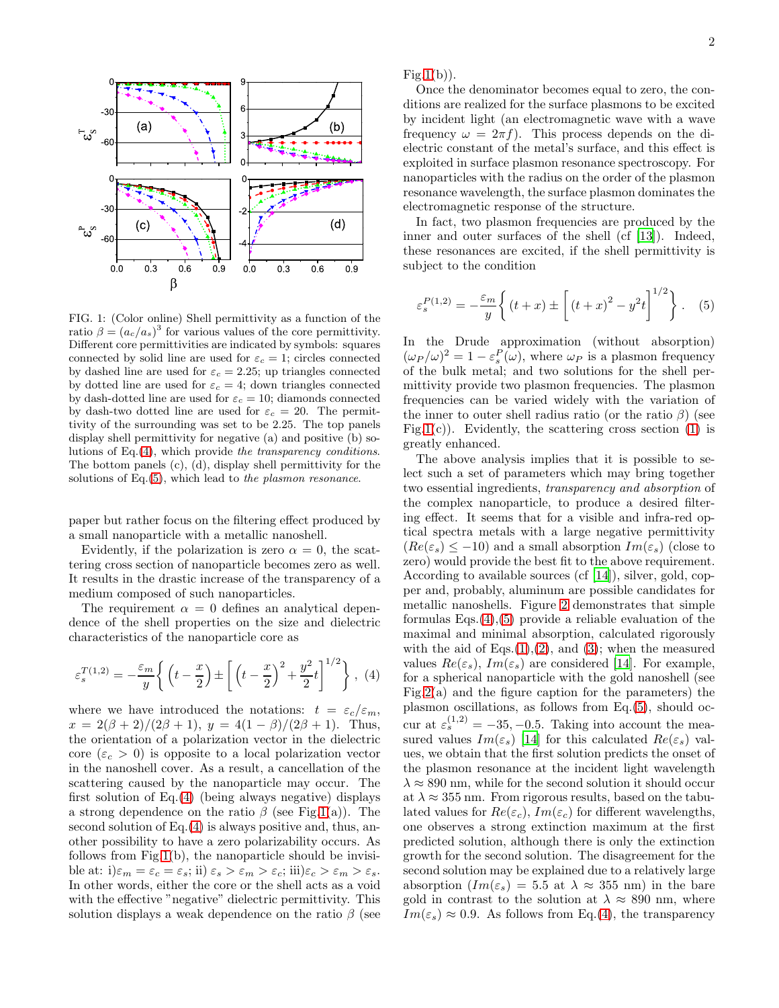

<span id="page-1-2"></span>FIG. 1: (Color online) Shell permittivity as a function of the ratio  $\beta = (a_c/a_s)^3$  for various values of the core permittivity. Different core permittivities are indicated by symbols: squares connected by solid line are used for  $\varepsilon_c = 1$ ; circles connected by dashed line are used for  $\varepsilon_c = 2.25$ ; up triangles connected by dotted line are used for  $\varepsilon_c = 4$ ; down triangles connected by dash-dotted line are used for  $\varepsilon_c = 10$ ; diamonds connected by dash-two dotted line are used for  $\varepsilon_c = 20$ . The permittivity of the surrounding was set to be 2.25. The top panels display shell permittivity for negative (a) and positive (b) solutions of Eq.[\(4\)](#page-1-0), which provide the transparency conditions. The bottom panels (c), (d), display shell permittivity for the solutions of Eq.[\(5\)](#page-1-1), which lead to the plasmon resonance.

paper but rather focus on the filtering effect produced by a small nanoparticle with a metallic nanoshell.

Evidently, if the polarization is zero  $\alpha = 0$ , the scattering cross section of nanoparticle becomes zero as well. It results in the drastic increase of the transparency of a medium composed of such nanoparticles.

The requirement  $\alpha = 0$  defines an analytical dependence of the shell properties on the size and dielectric characteristics of the nanoparticle core as

<span id="page-1-0"></span>
$$
\varepsilon_s^{T(1,2)} = -\frac{\varepsilon_m}{y} \left\{ \left( t - \frac{x}{2} \right) \pm \left[ \left( t - \frac{x}{2} \right)^2 + \frac{y^2}{2} t \right]^{1/2} \right\}, (4)
$$

where we have introduced the notations:  $t = \varepsilon_c/\varepsilon_m$ ,  $x = 2(\beta + 2)/(2\beta + 1), y = 4(1 - \beta)/(2\beta + 1).$  Thus, the orientation of a polarization vector in the dielectric core  $(\varepsilon_c > 0)$  is opposite to a local polarization vector in the nanoshell cover. As a result, a cancellation of the scattering caused by the nanoparticle may occur. The first solution of Eq.[\(4\)](#page-1-0) (being always negative) displays a strong dependence on the ratio  $\beta$  (see Fig[.1\(](#page-1-2)a)). The second solution of  $Eq.(4)$  $Eq.(4)$  is always positive and, thus, another possibility to have a zero polarizability occurs. As follows from Fig[.1\(](#page-1-2)b), the nanoparticle should be invisible at: i) $\varepsilon_m = \varepsilon_c = \varepsilon_s$ ; ii)  $\varepsilon_s > \varepsilon_m > \varepsilon_c$ ; iii) $\varepsilon_c > \varepsilon_m > \varepsilon_s$ . In other words, either the core or the shell acts as a void with the effective "negative" dielectric permittivity. This solution displays a weak dependence on the ratio  $\beta$  (see

 $Fig.1(b)$  $Fig.1(b)$  $Fig.1(b)$ ).

Once the denominator becomes equal to zero, the conditions are realized for the surface plasmons to be excited by incident light (an electromagnetic wave with a wave frequency  $\omega = 2\pi f$ . This process depends on the dielectric constant of the metal's surface, and this effect is exploited in surface plasmon resonance spectroscopy. For nanoparticles with the radius on the order of the plasmon resonance wavelength, the surface plasmon dominates the electromagnetic response of the structure.

In fact, two plasmon frequencies are produced by the inner and outer surfaces of the shell (cf [\[13\]](#page-3-12)). Indeed, these resonances are excited, if the shell permittivity is subject to the condition

<span id="page-1-1"></span>
$$
\varepsilon_s^{P(1,2)} = -\frac{\varepsilon_m}{y} \left\{ (t+x) \pm \left[ (t+x)^2 - y^2 t \right]^{1/2} \right\} .
$$
 (5)

In the Drude approximation (without absorption)  $(\omega_P/\omega)^2 = 1 - \varepsilon_s^P(\omega)$ , where  $\omega_P$  is a plasmon frequency of the bulk metal; and two solutions for the shell permittivity provide two plasmon frequencies. The plasmon frequencies can be varied widely with the variation of the inner to outer shell radius ratio (or the ratio  $\beta$ ) (see Fig[.1\(](#page-1-2)c)). Evidently, the scattering cross section  $(1)$  is greatly enhanced.

The above analysis implies that it is possible to select such a set of parameters which may bring together two essential ingredients, transparency and absorption of the complex nanoparticle, to produce a desired filtering effect. It seems that for a visible and infra-red optical spectra metals with a large negative permittivity  $(Re(\varepsilon_s) \leq -10)$  and a small absorption  $Im(\varepsilon_s)$  (close to zero) would provide the best fit to the above requirement. According to available sources (cf [\[14](#page-3-13)]), silver, gold, copper and, probably, aluminum are possible candidates for metallic nanoshells. Figure [2](#page-2-0) demonstrates that simple formulas  $Eqs.(4),(5)$  $Eqs.(4),(5)$  $Eqs.(4),(5)$  $Eqs.(4),(5)$  provide a reliable evaluation of the maximal and minimal absorption, calculated rigorously with the aid of  $Eqs.(1),(2)$  $Eqs.(1),(2)$  $Eqs.(1),(2)$  $Eqs.(1),(2)$ , and [\(3\)](#page-0-1); when the measured values  $Re(\varepsilon_s)$ ,  $Im(\varepsilon_s)$  are considered [\[14\]](#page-3-13). For example, for a spherical nanoparticle with the gold nanoshell (see Fig[.2\(](#page-2-0)a) and the figure caption for the parameters) the plasmon oscillations, as follows from Eq.[\(5\)](#page-1-1), should occur at  $\varepsilon_s^{(1,2)} = -35, -0.5$ . Taking into account the measured values  $Im(\varepsilon_s)$  [\[14](#page-3-13)] for this calculated  $Re(\varepsilon_s)$  values, we obtain that the first solution predicts the onset of the plasmon resonance at the incident light wavelength  $\lambda \approx 890$  nm, while for the second solution it should occur at  $\lambda \approx 355$  nm. From rigorous results, based on the tabulated values for  $Re(\varepsilon_c)$ ,  $Im(\varepsilon_c)$  for different wavelengths, one observes a strong extinction maximum at the first predicted solution, although there is only the extinction growth for the second solution. The disagreement for the second solution may be explained due to a relatively large absorption  $(Im(\varepsilon_s) = 5.5 \text{ at } \lambda \approx 355 \text{ nm})$  in the bare gold in contrast to the solution at  $\lambda \approx 890$  nm, where  $Im(\varepsilon_s) \approx 0.9$ . As follows from Eq.[\(4\)](#page-1-0), the transparency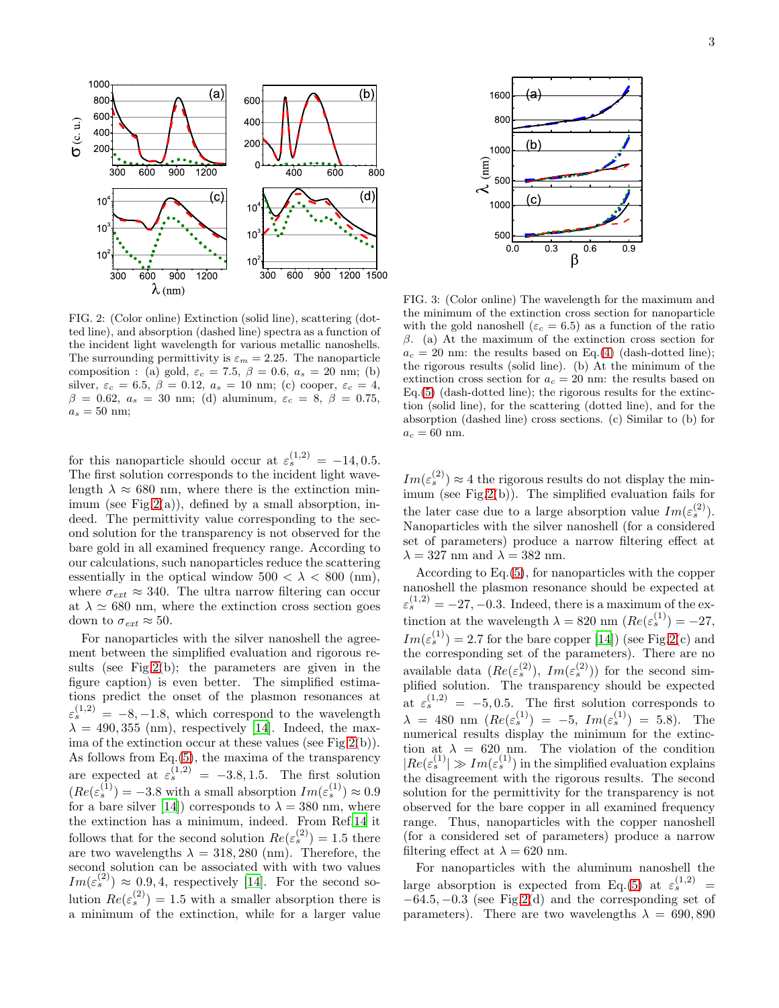

<span id="page-2-0"></span>FIG. 2: (Color online) Extinction (solid line), scattering (dotted line), and absorption (dashed line) spectra as a function of the incident light wavelength for various metallic nanoshells. The surrounding permittivity is  $\varepsilon_m = 2.25$ . The nanoparticle composition : (a) gold,  $\varepsilon_c = 7.5$ ,  $\beta = 0.6$ ,  $a_s = 20$  nm; (b) silver,  $\varepsilon_c = 6.5$ ,  $\beta = 0.12$ ,  $a_s = 10$  nm; (c) cooper,  $\varepsilon_c = 4$ ,  $β = 0.62, a_s = 30$  nm; (d) aluminum,  $ε_c = 8, β = 0.75,$  $a_s = 50$  nm;

for this nanoparticle should occur at  $\varepsilon_s^{(1,2)} = -14, 0.5$ . The first solution corresponds to the incident light wavelength  $\lambda \approx 680$  nm, where there is the extinction minimum (see Fig.  $2(a)$ ), defined by a small absorption, indeed. The permittivity value corresponding to the second solution for the transparency is not observed for the bare gold in all examined frequency range. According to our calculations, such nanoparticles reduce the scattering essentially in the optical window  $500 < \lambda < 800$  (nm), where  $\sigma_{ext} \approx 340$ . The ultra narrow filtering can occur at  $\lambda \simeq 680$  nm, where the extinction cross section goes down to  $\sigma_{ext} \approx 50$ .

For nanoparticles with the silver nanoshell the agreement between the simplified evaluation and rigorous results (see Fig[.2\(](#page-2-0)b); the parameters are given in the figure caption) is even better. The simplified estimations predict the onset of the plasmon resonances at  $\varepsilon_s^{(1,2)} = -8, -1.8$ , which correspond to the wavelength  $\lambda = 490, 355 \text{ (nm)}$ , respectively [\[14\]](#page-3-13). Indeed, the maxima of the extinction occur at these values (see Fig[.2\(](#page-2-0)b)). As follows from Eq.[\(5\)](#page-1-1), the maxima of the transparency are expected at  $\varepsilon_s^{(1,2)} = -3.8, 1.5$ . The first solution  $(Re(\varepsilon_s^{(1)}) = -3.8 \text{ with a small absorption } Im(\varepsilon_s^{(1)}) \approx 0.9$ for a bare silver [\[14\]](#page-3-13)) corresponds to  $\lambda = 380$  nm, where the extinction has a minimum, indeed. From Ref[.14](#page-3-13) it follows that for the second solution  $Re(\varepsilon_s^{(2)}) = 1.5$  there are two wavelengths  $\lambda = 318,280$  (nm). Therefore, the second solution can be associated with with two values  $Im(\varepsilon_s^{(2)}) \approx 0.9, 4$ , respectively [\[14\]](#page-3-13). For the second solution  $Re(\varepsilon_s^{(2)}) = 1.5$  with a smaller absorption there is a minimum of the extinction, while for a larger value



<span id="page-2-1"></span>FIG. 3: (Color online) The wavelength for the maximum and the minimum of the extinction cross section for nanoparticle with the gold nanoshell ( $\varepsilon_c = 6.5$ ) as a function of the ratio  $β$ . (a) At the maximum of the extinction cross section for  $a_c = 20$  nm: the results based on Eq.[\(4\)](#page-1-0) (dash-dotted line); the rigorous results (solid line). (b) At the minimum of the extinction cross section for  $a_c = 20$  nm: the results based on  $Eq.(5)$  $Eq.(5)$  (dash-dotted line); the rigorous results for the extinction (solid line), for the scattering (dotted line), and for the absorption (dashed line) cross sections. (c) Similar to (b) for  $a_c = 60$  nm.

 $Im(\varepsilon_s^{(2)}) \approx 4$  the rigorous results do not display the minimum (see Fig[.2\(](#page-2-0)b)). The simplified evaluation fails for the later case due to a large absorption value  $Im(\varepsilon_s^{(2)})$ . Nanoparticles with the silver nanoshell (for a considered set of parameters) produce a narrow filtering effect at  $\lambda = 327$  nm and  $\lambda = 382$  nm.

According to Eq.[\(5\)](#page-1-1), for nanoparticles with the copper nanoshell the plasmon resonance should be expected at  $\varepsilon_s^{(1,2)} = -27, -0.3$ . Indeed, there is a maximum of the extinction at the wavelength  $\lambda = 820$  nm  $(Re(\varepsilon_s^{(1)}) = -27,$  $Im(\varepsilon_s^{(1)}) = 2.7$  for the bare copper [\[14](#page-3-13)]) (see Fig[.2\(](#page-2-0)c) and the corresponding set of the parameters). There are no available data  $(Re(\varepsilon_s^{(2)}), Im(\varepsilon_s^{(2)}))$  for the second simplified solution. The transparency should be expected at  $\varepsilon_s^{(1,2)} = -5, 0.5$ . The first solution corresponds to  $\lambda = 480 \text{ nm} \left( Re(\varepsilon_s^{(1)}) = -5, Im(\varepsilon_s^{(1)}) = 5.8 \right).$  The numerical results display the minimum for the extinction at  $\lambda = 620 \text{ nm}$ . The violation of the condition  $|Re(\varepsilon_s^{(1)})\rangle \gg Im(\varepsilon_s^{(1)})$  in the simplified evaluation explains the disagreement with the rigorous results. The second solution for the permittivity for the transparency is not observed for the bare copper in all examined frequency range. Thus, nanoparticles with the copper nanoshell (for a considered set of parameters) produce a narrow filtering effect at  $\lambda = 620$  nm.

For nanoparticles with the aluminum nanoshell the large absorption is expected from Eq.[\(5\)](#page-1-1) at  $\varepsilon_s^{(1,2)}$  =  $-64.5, -0.3$  (see Fig[.2\(](#page-2-0)d) and the corresponding set of parameters). There are two wavelengths  $\lambda = 690, 890$